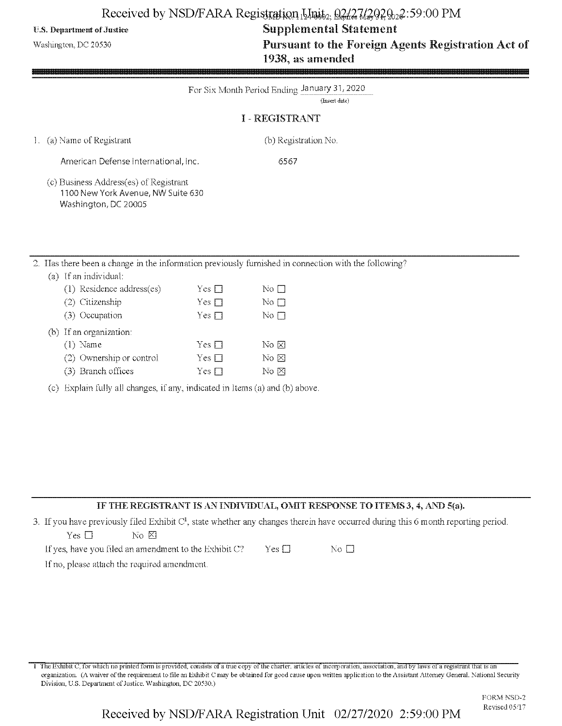## Received by NSD/FARA Registration [15](10) fig. 02/27/29292:59:00 PM

# U.S. Department of Justice Supplemental Statement Washington, DC 20530 **Pursuant to the Foreign Agents Registration Act of** 1938, as amended

| For Six Month Period Ending January 31, 2020<br>(Insert date)<br><b>I-REGISTRANT</b>                                                                                                                                                                                                               |
|----------------------------------------------------------------------------------------------------------------------------------------------------------------------------------------------------------------------------------------------------------------------------------------------------|
| 1. (a) Name of Registrant<br>(b) Registration No.                                                                                                                                                                                                                                                  |
| American Defense International, Inc.<br>6567<br>(c) Business Address(es) of Registrant<br>1100 New York Avenue, NW Suite 630<br>Washington, DC 20005                                                                                                                                               |
| 2. Has there been a change in the information previously furnished in connection with the following?<br>(a) If an individual:<br>(1) Residence address(es)<br>Yes $\square$<br>No $\square$<br>(2) Citizenship<br>Yes $\square$<br>No $\square$<br>(3) Occupation<br>No $\square$<br>$Yes \square$ |

No  $\boxtimes$ No  $\boxtimes$  $\overline{\mathrm{No}}$   $\boxtimes$ 

## IF THE REGISTRANT IS AN INDIVIDUAL, OMIT RESPONSE TO ITEMS 3, 4, AND 5(a).

3. If you have previously filed Exhibit  $C<sup>1</sup>$ , state whether any changes therein have occurred during this 6 month reporting period.

| Yes □ |  | No X |  |
|-------|--|------|--|

(b) If an organization:

 $\overline{2}$ 

(1) Name  $Yes \Box$ (2) Ownership or control  $Yes \Box$ (3) Branch offices  $Yes \Box$ 

(c) Explain fully all changes, if any, indicated in Items (a) and (b) above.

| If yes, have you filed an amendment to the Exhibit C? –<br>$Yes \Box$ | Nο |
|-----------------------------------------------------------------------|----|
|-----------------------------------------------------------------------|----|

If no, please attach the required amendment.

1 The Exhibit C, for which no printed form is provided, consists of a true copy of the charter, articles of incorporation, association, and by laws of a registrant that is an organization. (A waiver ofthe requirement to file an Exhibit C may be obtained for good cause upon written application lo the Assistant Attorney General. National Security Division, U.S. Department of Justice. Washington, DC 20530.)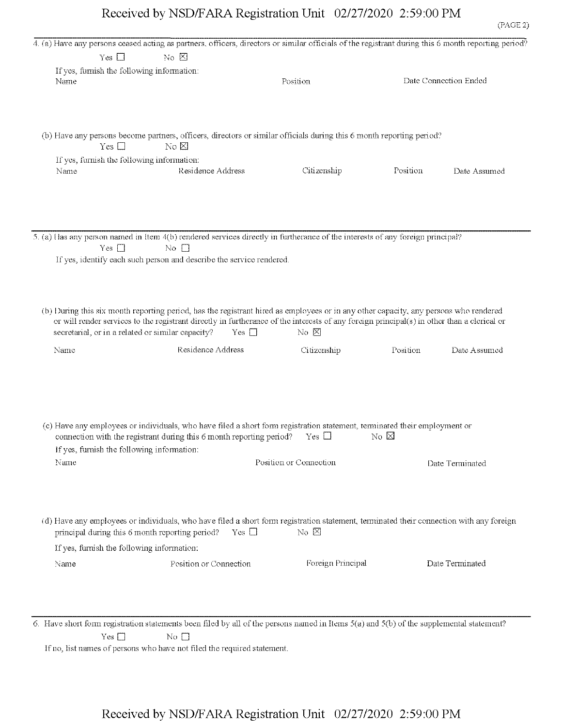|      |                                                   |                                                                      | 4. (a) Have any persons ceased acting as partners, officers, directors or similar officials of the registrant during this 6 month reporting period? |          |                       |
|------|---------------------------------------------------|----------------------------------------------------------------------|-----------------------------------------------------------------------------------------------------------------------------------------------------|----------|-----------------------|
|      | Yes $\square$                                     | $\overline{\text{No }} \boxtimes$                                    |                                                                                                                                                     |          |                       |
|      | If yes, furnish the following information:        |                                                                      |                                                                                                                                                     |          |                       |
| Name |                                                   |                                                                      | Position                                                                                                                                            |          | Date Connection Ended |
|      |                                                   |                                                                      |                                                                                                                                                     |          |                       |
|      |                                                   |                                                                      |                                                                                                                                                     |          |                       |
|      |                                                   |                                                                      |                                                                                                                                                     |          |                       |
|      |                                                   |                                                                      |                                                                                                                                                     |          |                       |
|      |                                                   |                                                                      | (b) Have any persons become partners, officers, directors or similar officials during this 6 month reporting period?                                |          |                       |
|      | Yes $\square$                                     | $\rm{No} \boxtimes$                                                  |                                                                                                                                                     |          |                       |
|      | If yes, furnish the following information:        |                                                                      |                                                                                                                                                     |          |                       |
| Name |                                                   | Residence Address                                                    | Citizenship                                                                                                                                         | Position | Date Assumed          |
|      |                                                   |                                                                      |                                                                                                                                                     |          |                       |
|      |                                                   |                                                                      |                                                                                                                                                     |          |                       |
|      |                                                   |                                                                      |                                                                                                                                                     |          |                       |
|      |                                                   |                                                                      |                                                                                                                                                     |          |                       |
|      |                                                   |                                                                      |                                                                                                                                                     |          |                       |
|      |                                                   |                                                                      | 5. (a) Has any person named in Item 4(b) rendered services directly in furtherance of the interests of any foreign principal?                       |          |                       |
|      | Yes $\Box$                                        | $\overline{N}$ o $\Box$                                              |                                                                                                                                                     |          |                       |
|      |                                                   | If yes, identify each such person and describe the service rendered. |                                                                                                                                                     |          |                       |
|      |                                                   |                                                                      |                                                                                                                                                     |          |                       |
|      |                                                   |                                                                      |                                                                                                                                                     |          |                       |
|      |                                                   |                                                                      |                                                                                                                                                     |          |                       |
|      |                                                   |                                                                      |                                                                                                                                                     |          |                       |
|      |                                                   |                                                                      | (b) During this six month reporting period, has the registrant hired as employees or in any other capacity, any persons who rendered                |          |                       |
|      |                                                   |                                                                      | or will render services to the registrant directly in furtherance of the interests of any foreign principal(s) in other than a clerical or          |          |                       |
|      | secretarial, or in a related or similar capacity? | $Yes \square$                                                        | $\overline{N}$ $\overline{N}$                                                                                                                       |          |                       |
| Name |                                                   | Residence Address                                                    | Citizenship                                                                                                                                         | Position | Date Assumed          |
|      |                                                   |                                                                      |                                                                                                                                                     |          |                       |
|      |                                                   |                                                                      |                                                                                                                                                     |          |                       |
|      |                                                   |                                                                      |                                                                                                                                                     |          |                       |
|      |                                                   |                                                                      |                                                                                                                                                     |          |                       |
|      |                                                   |                                                                      |                                                                                                                                                     |          |                       |
|      |                                                   |                                                                      |                                                                                                                                                     |          |                       |
|      |                                                   |                                                                      | (c) Have any employees or individuals, who have filed a short form registration statement, terminated their employment or                           |          |                       |
|      |                                                   | connection with the registrant during this 6 month reporting period? | Yes $\Box$                                                                                                                                          | No ⊠     |                       |
|      | If yes, furnish the following information:        |                                                                      |                                                                                                                                                     |          |                       |
| Name |                                                   |                                                                      | Position or Connection                                                                                                                              |          | Date Terminated       |
|      |                                                   |                                                                      |                                                                                                                                                     |          |                       |
|      |                                                   |                                                                      |                                                                                                                                                     |          |                       |
|      |                                                   |                                                                      |                                                                                                                                                     |          |                       |
|      |                                                   |                                                                      |                                                                                                                                                     |          |                       |
|      |                                                   |                                                                      |                                                                                                                                                     |          |                       |
|      |                                                   |                                                                      | (d) Have any employees or individuals, who have filed a short form registration statement, terminated their connection with any foreign             |          |                       |
|      |                                                   | $Yes \Box$<br>principal during this 6 month reporting period?        | No $\boxtimes$                                                                                                                                      |          |                       |
|      | If yes, furnish the following information:        |                                                                      |                                                                                                                                                     |          |                       |
| Name |                                                   | Position or Connection                                               | Foreign Principal                                                                                                                                   |          | Date Terminated       |
|      |                                                   |                                                                      |                                                                                                                                                     |          |                       |
|      |                                                   |                                                                      |                                                                                                                                                     |          |                       |
|      |                                                   |                                                                      |                                                                                                                                                     |          |                       |

6. Have short form registration statements been filed by all of the persons named in Herns 5(a) and 5(b) of file supplemental statement?  $Yes \Box$  No  $\Box$ 

If no, list names of persons who have not filed the required statement.

# Received by NSD/FARA Registration Unit 02/27/2020 2:59:00 PM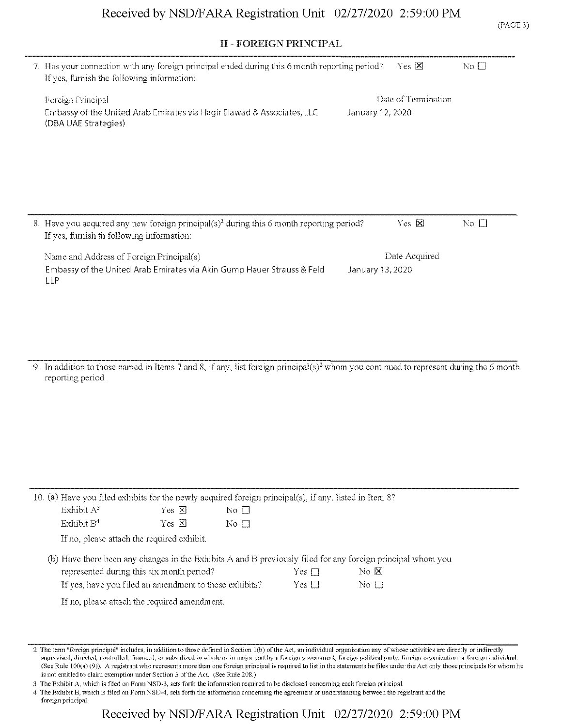## II - FOREIGN PRINCIPAL

|            |                                                                                                                                                                        |                 | 11 - PUKERJN FKINCIFAL  |                             |                                               |                     |              |
|------------|------------------------------------------------------------------------------------------------------------------------------------------------------------------------|-----------------|-------------------------|-----------------------------|-----------------------------------------------|---------------------|--------------|
|            | 7. Has your connection with any foreign principal ended during this 6 month reporting period?<br>If yes, furnish the following information:                            |                 |                         |                             |                                               | Yes $\boxtimes$     | No $\square$ |
|            | Foreign Principal                                                                                                                                                      |                 |                         |                             |                                               | Date of Termination |              |
|            | Embassy of the United Arab Emirates via Hagir Elawad & Associates, LLC<br>(DBA UAE Strategies)                                                                         |                 |                         |                             | January 12, 2020                              |                     |              |
|            |                                                                                                                                                                        |                 |                         |                             |                                               |                     |              |
|            | 8. Have you acquired any new foreign principal(s) <sup>2</sup> during this 6 month reporting period?                                                                   |                 |                         |                             |                                               | Yes $\boxtimes$     | No $\Box$    |
|            | If yes, furnish th following information:                                                                                                                              |                 |                         |                             |                                               |                     |              |
| <b>LLP</b> | Name and Address of Foreign Principal(s)<br>Embassy of the United Arab Emirates via Akin Gump Hauer Strauss & Feld                                                     |                 |                         |                             | January 13, 2020                              | Date Acquired       |              |
|            | 9. In addition to those named in Items 7 and 8, if any, list foreign principal(s) <sup>2</sup> whom you continued to represent during the 6 month<br>reporting period. |                 |                         |                             |                                               |                     |              |
|            |                                                                                                                                                                        |                 |                         |                             |                                               |                     |              |
|            |                                                                                                                                                                        |                 |                         |                             |                                               |                     |              |
|            |                                                                                                                                                                        |                 |                         |                             |                                               |                     |              |
|            | 10. (a) Have you filed exhibits for the newly acquired foreign principal(s), if any, listed in Item 8?<br>Exhibit A <sup>3</sup>                                       | Yes $\boxtimes$ | No $\square$            |                             |                                               |                     |              |
|            | Exhibit B <sup>4</sup>                                                                                                                                                 | Yes $\boxtimes$ | $\overline{N}$ o $\Box$ |                             |                                               |                     |              |
|            | If no, please attach the required exhibit.                                                                                                                             |                 |                         |                             |                                               |                     |              |
|            | (b) Have there been any changes in the Exhibits A and B previously filed for any foreign principal whom you                                                            |                 |                         |                             |                                               |                     |              |
|            | represented during this six month period?<br>If yes, have you filed an amendment to these exhibits?                                                                    |                 |                         | Yes $\Box$<br>Yes $\square$ | $\overline{N}$ $\overline{X}$<br>No $\square$ |                     |              |
|            | If no, please attach the required amendment.                                                                                                                           |                 |                         |                             |                                               |                     |              |
|            |                                                                                                                                                                        |                 |                         |                             |                                               |                     |              |
|            |                                                                                                                                                                        |                 |                         |                             |                                               |                     |              |
|            |                                                                                                                                                                        |                 |                         |                             |                                               |                     |              |

<sup>2</sup> The term "foreign principal" includes, in addition to those defined in Section 1(b) of the Act, an individual organization any of whose activities are directly or indirectly supervised, directed, controlled, financed, or subsidized in whole or in major part by a foreign government, foreign political party, foreign organization or foreign individual. (See Rule 100(3") (9)). A registrant who represents more than one foreign principal is required to list in the statements he files under the Act only those principals for whom he is not entitled to claim exemption under Section 3 of the Act. (See Rule 208.)

<sup>3</sup> The Exhibit A, which is filed on FormNSD-3, sets forth the information required to be disclosed concerning each foreign principal.

<sup>4</sup> The Exhibit B, which is filed on FomiNSD-4, sets forth the information concerning the agreement or understanding between the registrant and the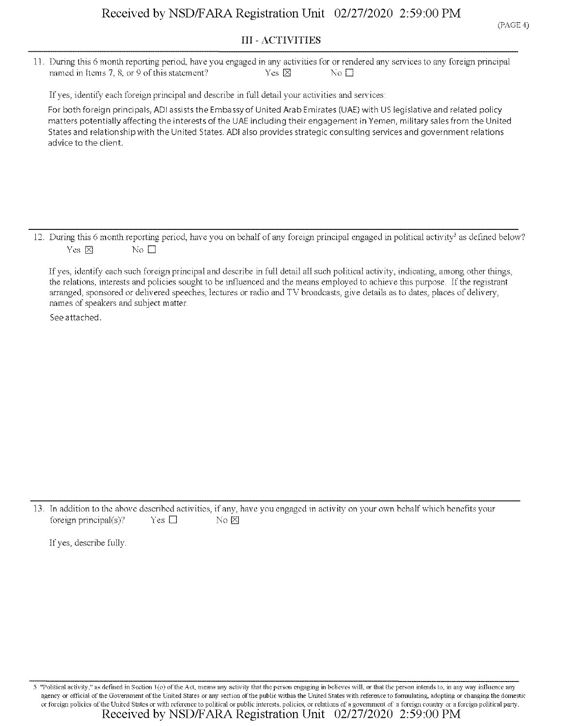#### III - ACTIVITIES

11. During this 6 month reporting period, have you engaged in any activities for or rendered any services to any foreign principal named in Items 7, 8, or 9 of this statement?  $\begin{array}{ccc} \text{Yes} & \boxtimes & \text{No} \square \end{array}$ 

If yes, identify each foreign principal and describe in full detail your activities and services;

For both foreign principals, ADI assists the Embassy of United Arab Emirates (UAE) with US legislative and related policy matters potentially affecting the interests of the UAE including their engagement in Yemen, military sales from the United States and relationship with the United States. ADI also provides strategic consulting services and government relations advice to the client.

12. During this 6 month reporting period, have you on behalf of any foreign principal engaged in political activity<sup>5</sup> as defined below? Yes  $\boxtimes$  No  $\square$ 

If yes, identify each such foreign principal and describe in full detail all such political activity, indicating, among other things, the relations, interests and policies sought to be influenced and the means employed to achieve this purpose. Ifthe registrant arranged, sponsored or delivered speeches, lectures or radio and TV broadcasts, give details as to dates, places of delivery, names of speakers and subject matter.

See attached.

13. In addition to the above described activities, if any, have you engaged in activity on your own behalf which benefits your foreign principal(s)? Yes  $\square$  No  $\boxtimes$ 

If yes, describe fully.

"Political activity," as defined in Section 1(o) of the Act, means any activity that the person engaging in believes will, or that the person intends to, in any way influence any agency or official of the Government of the United States or any section of the public within the United States with reference to formulating, adopting or changing the domestic or foreign policies ofthe United States or with reference to political or public interests, policies, or relations of a government of a foreign country or a foreign political party. Received by NSD/FARA Registration Unit 02/27/2020 2:59:00 PM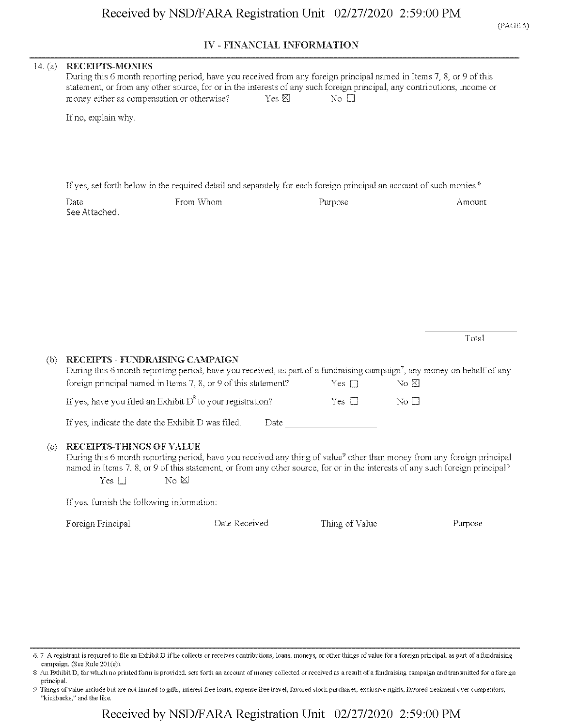### IV - FINANCIAL **INFORMATION**

| 14. $(a)$ | <b>RECEIPTS-MONIES</b><br>During this 6 month reporting period, have you received from any foreign principal named in Items 7, 8, or 9 of this<br>statement, or from any other source, for or in the interests of any such foreign principal, any contributions, income or<br>money either as compensation or otherwise?<br>Yes $\boxtimes$<br>No $\Box$ |                                                                |                                                                                                                                                                                                                               |                                                                                                                                                                                                                                                                      |  |  |  |  |
|-----------|----------------------------------------------------------------------------------------------------------------------------------------------------------------------------------------------------------------------------------------------------------------------------------------------------------------------------------------------------------|----------------------------------------------------------------|-------------------------------------------------------------------------------------------------------------------------------------------------------------------------------------------------------------------------------|----------------------------------------------------------------------------------------------------------------------------------------------------------------------------------------------------------------------------------------------------------------------|--|--|--|--|
|           | If no, explain why.                                                                                                                                                                                                                                                                                                                                      |                                                                |                                                                                                                                                                                                                               |                                                                                                                                                                                                                                                                      |  |  |  |  |
|           | Date                                                                                                                                                                                                                                                                                                                                                     | From Whom                                                      | If yes, set forth below in the required detail and separately for each foreign principal an account of such monies. <sup>6</sup><br>Purpose                                                                                   | Amount                                                                                                                                                                                                                                                               |  |  |  |  |
|           | See Attached.                                                                                                                                                                                                                                                                                                                                            |                                                                |                                                                                                                                                                                                                               |                                                                                                                                                                                                                                                                      |  |  |  |  |
|           |                                                                                                                                                                                                                                                                                                                                                          |                                                                |                                                                                                                                                                                                                               |                                                                                                                                                                                                                                                                      |  |  |  |  |
|           |                                                                                                                                                                                                                                                                                                                                                          |                                                                |                                                                                                                                                                                                                               | Total                                                                                                                                                                                                                                                                |  |  |  |  |
| (b)       | RECEIPTS - FUNDRAISING CAMPAIGN                                                                                                                                                                                                                                                                                                                          | foreign principal named in Items 7, 8, or 9 of this statement? | Yes $\square$                                                                                                                                                                                                                 | During this 6 month reporting period, have you received, as part of a fundraising campaign', any money on behalf of any<br>$N\circ \boxtimes$                                                                                                                        |  |  |  |  |
|           |                                                                                                                                                                                                                                                                                                                                                          | If yes, have you filed an Exhibit $D^8$ to your registration?  | Yes $\square$                                                                                                                                                                                                                 | No $\square$                                                                                                                                                                                                                                                         |  |  |  |  |
|           | If yes, indicate the date the Exhibit D was filed.                                                                                                                                                                                                                                                                                                       |                                                                | Date and the set of the set of the set of the set of the set of the set of the set of the set of the set of the set of the set of the set of the set of the set of the set of the set of the set of the set of the set of the |                                                                                                                                                                                                                                                                      |  |  |  |  |
| (c)       | <b>RECEIPTS-THINGS OF VALUE</b><br>Yes $\square$                                                                                                                                                                                                                                                                                                         | $\overline{\mathrm{No}}$ $\boxtimes$                           |                                                                                                                                                                                                                               | During this 6 month reporting period, have you received any thing of value <sup>9</sup> other than money from any foreign principal<br>named in Items 7, 8, or 9 of this statement, or from any other source, for or in the interests of any such foreign principal? |  |  |  |  |
|           | If yes, furnish the following information:                                                                                                                                                                                                                                                                                                               |                                                                |                                                                                                                                                                                                                               |                                                                                                                                                                                                                                                                      |  |  |  |  |
|           | Foreign Principal                                                                                                                                                                                                                                                                                                                                        | Date Received                                                  | Thing of Value                                                                                                                                                                                                                | Purpose                                                                                                                                                                                                                                                              |  |  |  |  |
|           |                                                                                                                                                                                                                                                                                                                                                          |                                                                |                                                                                                                                                                                                                               |                                                                                                                                                                                                                                                                      |  |  |  |  |
|           |                                                                                                                                                                                                                                                                                                                                                          |                                                                |                                                                                                                                                                                                                               |                                                                                                                                                                                                                                                                      |  |  |  |  |
|           |                                                                                                                                                                                                                                                                                                                                                          |                                                                |                                                                                                                                                                                                                               |                                                                                                                                                                                                                                                                      |  |  |  |  |
|           |                                                                                                                                                                                                                                                                                                                                                          |                                                                |                                                                                                                                                                                                                               |                                                                                                                                                                                                                                                                      |  |  |  |  |
|           |                                                                                                                                                                                                                                                                                                                                                          |                                                                |                                                                                                                                                                                                                               |                                                                                                                                                                                                                                                                      |  |  |  |  |

<sup>6.</sup> 7 A registrant is required to file an Exhibit D ifhe collects or receives contributions, loans, moneys, or other things ofvalue for a foreign principal, as part of a fundraising campaign. (See Rule 201(e)).

<sup>8</sup> An Exhibit D, for which no printed form is provided, sets forth an account of money collected or received as a result of a fundraising campaign and transmitted for a foreign principal.

<sup>9</sup> Things of value include but are not limited to gifts, interest free loans, expense free travel, favored stock purchases, exclusive rights, favored treatment over competitors, "kickbacks," and the like.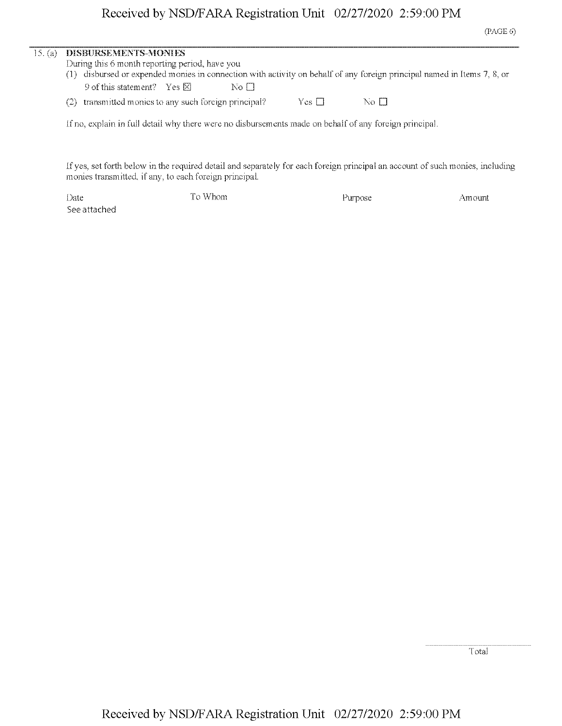| 15. (a) | DISBURSEMENTS-MONIES                                                                                                |  |
|---------|---------------------------------------------------------------------------------------------------------------------|--|
|         | During this 6 month reporting period, have you                                                                      |  |
|         | disbursed or expended monies in connection with activity on behalf of any foreign principal named in Items 7, 8, or |  |
|         | 9 of this statement? Yes $\boxtimes$<br>No H                                                                        |  |
|         | transmitted monies to any such foreign principal?<br>Yes $\Box$<br>No El<br>(2)                                     |  |
|         | If no, explain in full detail why there were no disbursements made on behalf of any foreign principal.              |  |
|         |                                                                                                                     |  |

If yes, set forth below in the required detail and separately for each foreign principal an account of such monies, including monies transmitted, if any, to each foreign principal.

Date To Whom and Purpose Amount Amount Design and Purpose and Amount Amount Purpose and Amount Amount Amount Amount Amount Amount Amount Amount Amount Amount Amount Amount Amount Amount Amount Amount Amount Amount Amount A See attached

Total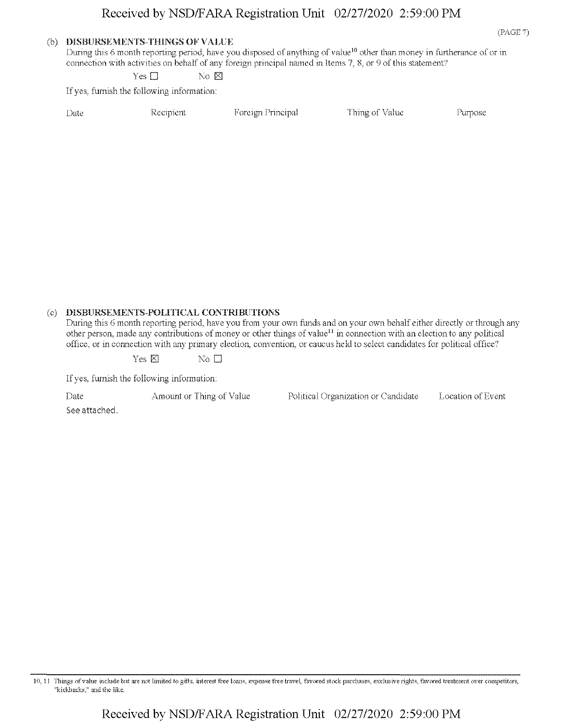#### (b) DISBURSEMENTS-THINGS OF VALUE

During this 6 month reporting period, have you disposed of anything of value<sup>10</sup> other than money in furtherance of or in connection with activities on behalf of any foreign principal named in Items 7, 8, or 9 of this statement?

Yes  $\square$  No  $\square$ 

If yes, furnish the following information:

| Date | Recipient | Foreign Principal | Thing of Value | Purpose |
|------|-----------|-------------------|----------------|---------|
|      |           |                   |                |         |

#### (c) DISBURSEMENTS-POLITICAL CONTRIBUTIONS

During this 6 month reporting period, have you from your own funds and on your own behalf either directly or through any other person, made any contributions of money or other things of value<sup>11</sup> in connection with an election to any political office, or in connection with any primary election, convention, or caucus held to select candidates for political office?

 $Yes \boxtimes$  No  $\square$ 

If yes, furnish the following information:

See attached.

Date Amount or Thing of Value Political Organization or Candidate Location of Event

(PAGE 7)

10,11 Tilings ofvalue include but are not limited to gifts, interest free loans, expense free travel, favored stock purchases, exclusive rights, favored treatment over competitors, "kickbacks," and the like.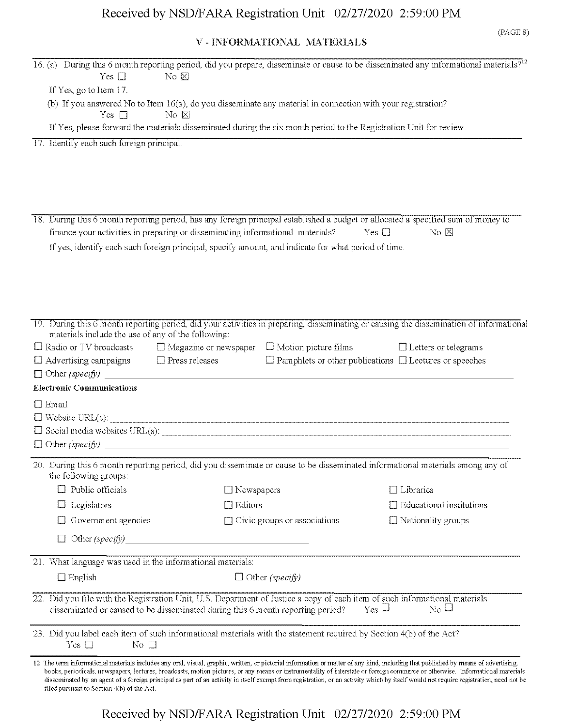## V - INFORMATIONAL MATERIALS

(PAGE S)

| Yes $\square$                                                                                                                                                                                                  | No $\boxtimes$    |                                     | 16. (a) During this 6 month reporting period, did you prepare, disseminate or cause to be disseminated any informational materials? <sup>12</sup>                                                                                                                                                                                                                                                                                                                                                                                                             |
|----------------------------------------------------------------------------------------------------------------------------------------------------------------------------------------------------------------|-------------------|-------------------------------------|---------------------------------------------------------------------------------------------------------------------------------------------------------------------------------------------------------------------------------------------------------------------------------------------------------------------------------------------------------------------------------------------------------------------------------------------------------------------------------------------------------------------------------------------------------------|
| If Yes, go to Item 17.                                                                                                                                                                                         |                   |                                     |                                                                                                                                                                                                                                                                                                                                                                                                                                                                                                                                                               |
| (b) If you answered No to Item 16(a), do you disseminate any material in connection with your registration?                                                                                                    |                   |                                     |                                                                                                                                                                                                                                                                                                                                                                                                                                                                                                                                                               |
| Yes $\square$                                                                                                                                                                                                  | No $\boxtimes$    |                                     |                                                                                                                                                                                                                                                                                                                                                                                                                                                                                                                                                               |
| If Yes, please forward the materials disseminated during the six month period to the Registration Unit for review.                                                                                             |                   |                                     |                                                                                                                                                                                                                                                                                                                                                                                                                                                                                                                                                               |
| 17. Identify each such foreign principal.                                                                                                                                                                      |                   |                                     |                                                                                                                                                                                                                                                                                                                                                                                                                                                                                                                                                               |
|                                                                                                                                                                                                                |                   |                                     |                                                                                                                                                                                                                                                                                                                                                                                                                                                                                                                                                               |
|                                                                                                                                                                                                                |                   |                                     |                                                                                                                                                                                                                                                                                                                                                                                                                                                                                                                                                               |
|                                                                                                                                                                                                                |                   |                                     |                                                                                                                                                                                                                                                                                                                                                                                                                                                                                                                                                               |
|                                                                                                                                                                                                                |                   |                                     |                                                                                                                                                                                                                                                                                                                                                                                                                                                                                                                                                               |
|                                                                                                                                                                                                                |                   |                                     | 18. During this 6 month reporting period, has any foreign principal established a budget or allocated a specified sum of money to                                                                                                                                                                                                                                                                                                                                                                                                                             |
| finance your activities in preparing or disseminating informational materials?                                                                                                                                 |                   |                                     | Yes $\square$<br>$\overline{\text{No }} \boxtimes$                                                                                                                                                                                                                                                                                                                                                                                                                                                                                                            |
| If yes, identify each such foreign principal, specify amount, and indicate for what period of time.                                                                                                            |                   |                                     |                                                                                                                                                                                                                                                                                                                                                                                                                                                                                                                                                               |
|                                                                                                                                                                                                                |                   |                                     |                                                                                                                                                                                                                                                                                                                                                                                                                                                                                                                                                               |
|                                                                                                                                                                                                                |                   |                                     |                                                                                                                                                                                                                                                                                                                                                                                                                                                                                                                                                               |
|                                                                                                                                                                                                                |                   |                                     |                                                                                                                                                                                                                                                                                                                                                                                                                                                                                                                                                               |
|                                                                                                                                                                                                                |                   |                                     |                                                                                                                                                                                                                                                                                                                                                                                                                                                                                                                                                               |
| materials include the use of any of the following:                                                                                                                                                             |                   |                                     | 19. During this 6 month reporting period, did your activities in preparing, disseminating or causing the dissemination of informational                                                                                                                                                                                                                                                                                                                                                                                                                       |
| $\Box$ Radio or TV broadcasts $\Box$ Magazine or newspaper $\Box$ Motion picture films $\Box$ Letters or telegrams                                                                                             |                   |                                     |                                                                                                                                                                                                                                                                                                                                                                                                                                                                                                                                                               |
| $\Box$ Advertising campaigns $\Box$ Press releases                                                                                                                                                             |                   |                                     | $\Box$ Pamphlets or other publications $\Box$ Lectures or speeches                                                                                                                                                                                                                                                                                                                                                                                                                                                                                            |
| $\Box$ Other (specify)                                                                                                                                                                                         |                   |                                     |                                                                                                                                                                                                                                                                                                                                                                                                                                                                                                                                                               |
| <b>Electronic Communications</b>                                                                                                                                                                               |                   |                                     |                                                                                                                                                                                                                                                                                                                                                                                                                                                                                                                                                               |
| $\Box$ Email                                                                                                                                                                                                   |                   |                                     |                                                                                                                                                                                                                                                                                                                                                                                                                                                                                                                                                               |
| $\square \text{ Website URL(s): } \label{eq:2}$                                                                                                                                                                |                   |                                     |                                                                                                                                                                                                                                                                                                                                                                                                                                                                                                                                                               |
|                                                                                                                                                                                                                |                   |                                     |                                                                                                                                                                                                                                                                                                                                                                                                                                                                                                                                                               |
|                                                                                                                                                                                                                |                   |                                     |                                                                                                                                                                                                                                                                                                                                                                                                                                                                                                                                                               |
| the following groups:                                                                                                                                                                                          |                   |                                     | 20. During this 6 month reporting period, did you disseminate or cause to be disseminated informational materials among any of                                                                                                                                                                                                                                                                                                                                                                                                                                |
| Public officials<br>$\mathbf{1}$                                                                                                                                                                               | $\Box$ Newspapers |                                     | $\Box$ Libraries                                                                                                                                                                                                                                                                                                                                                                                                                                                                                                                                              |
| Legislators                                                                                                                                                                                                    | Editors           |                                     | $\Box$ Educational institutions                                                                                                                                                                                                                                                                                                                                                                                                                                                                                                                               |
| Government agencies                                                                                                                                                                                            |                   | $\Box$ Civic groups or associations | $\Box$ Nationality groups                                                                                                                                                                                                                                                                                                                                                                                                                                                                                                                                     |
|                                                                                                                                                                                                                |                   |                                     |                                                                                                                                                                                                                                                                                                                                                                                                                                                                                                                                                               |
| l I                                                                                                                                                                                                            | Other $(specify)$ |                                     |                                                                                                                                                                                                                                                                                                                                                                                                                                                                                                                                                               |
| 21. What language was used in the informational materials:                                                                                                                                                     |                   |                                     |                                                                                                                                                                                                                                                                                                                                                                                                                                                                                                                                                               |
| $\Box$ English                                                                                                                                                                                                 |                   |                                     |                                                                                                                                                                                                                                                                                                                                                                                                                                                                                                                                                               |
|                                                                                                                                                                                                                |                   |                                     |                                                                                                                                                                                                                                                                                                                                                                                                                                                                                                                                                               |
| 22. Did you file with the Registration Unit, U.S. Department of Justice a copy of each item of such informational materials<br>disseminated or caused to be disseminated during this 6 month reporting period? |                   |                                     | $Y_{\text{CS}}$ $\Box$<br>$_{\rm No}$ $\Box$                                                                                                                                                                                                                                                                                                                                                                                                                                                                                                                  |
| 23. Did you label each item of such informational materials with the statement required by Section 4(b) of the Act?<br>Yes $\square$<br>No $\square$                                                           |                   |                                     |                                                                                                                                                                                                                                                                                                                                                                                                                                                                                                                                                               |
| filed pursuant to Section 4(b) of the Act.                                                                                                                                                                     |                   |                                     | 12 The term informational materials includes any oral, visual, graphic, written, or pictorial information or matter of any kind, including that published by means of advertising,<br>books, periodicals, newspapers, lectures, broadcasts, motion pictures, or any means or instrumentality of interstate or foreign commerce or otherwise. Informational materials<br>disseminated by an agent of a foreign principal as part of an activity in itself exempt from registration, or an activity which by itself would not require registration, need not be |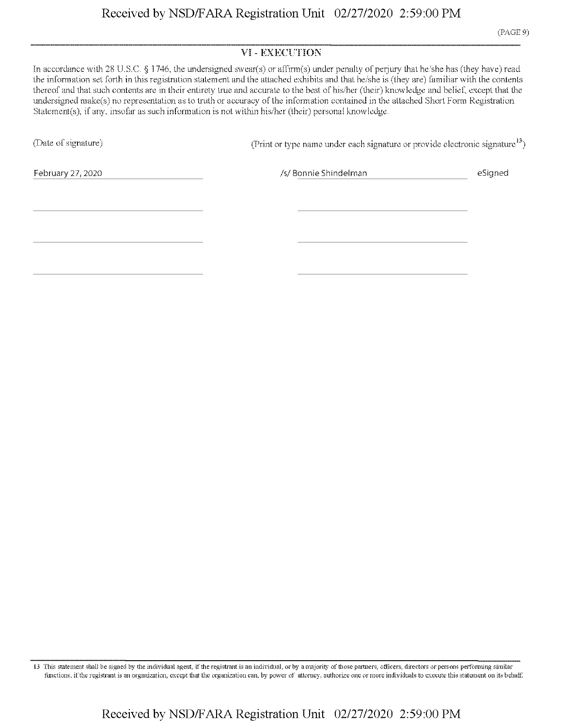### VI - EXECUTION

In accordance with 28 U.S.C. § <sup>1</sup> 746, the undersigned swear(s) or affirm(s) under penally of perjury that he/she has (they have) read the information set forth in this registration statement and the attached exhibits and that he/she is (they are) familiar with the contents thereof and that such contents are in their entirety true and accurate to the best of his/her (their) knowledge and belief, except that the undersigned make(s) no representation as to truth or accuracy of the information contained in the attached Short Form Registration Statement(s), if any. insofar as such information is not within his/her (their) personal knowledge.

(Date of signature) (Print or type name under each signature or provide electronic signature<sup>13</sup>)

February 27,2020 *!s!* Bonnie Shindelman eSigned

13 This statement shall be signed by the individual agent, ifthe registrant is an individual, or by a majority ofthose partners, officers, directors or persons performing similar functions, ifthe registrant is an organization, except that the organization can. by power of attorney, authorize one or more individuals to execute this statement on its behalf.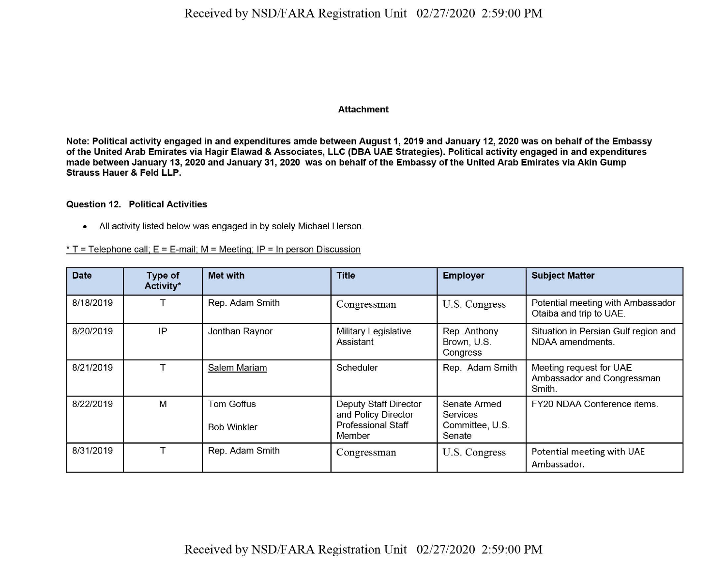#### Attachment

Note: Political activity engaged in and expenditures amde between August 1, 2019 and January 12, 2020 was on behalf of the Embassy of the United Arab Emirates via Hagir Elawad & Associates, LLC (DBA UAE Strategies). Political activity engaged in and expenditures made between January 13, 2020 and January 31, 2020 was on behalf of the Embassy of the United Arab Emirates via Akin Gump Strauss Hauer & Feld LLP.

#### Question 12. Political Activities

• All activity listed below was engaged in by solely Michael Herson.

 $*$  T = Telephone call; E = E-mail; M = Meeting; IP = In person Discussion

| <b>Date</b> | Type of<br>Activity* | <b>Met with</b>                         | <b>Title</b>                                                                        | <b>Employer</b>                                              | <b>Subject Matter</b>                                           |
|-------------|----------------------|-----------------------------------------|-------------------------------------------------------------------------------------|--------------------------------------------------------------|-----------------------------------------------------------------|
| 8/18/2019   |                      | Rep. Adam Smith                         | Congressman                                                                         | U.S. Congress                                                | Potential meeting with Ambassador<br>Otaiba and trip to UAE.    |
| 8/20/2019   | IP                   | Jonthan Raynor                          | Military Legislative<br>Assistant                                                   | Rep. Anthony<br>Brown, U.S.<br>Congress                      | Situation in Persian Gulf region and<br>NDAA amendments.        |
| 8/21/2019   |                      | Salem Mariam                            | Scheduler                                                                           | Rep. Adam Smith                                              | Meeting request for UAE<br>Ambassador and Congressman<br>Smith. |
| 8/22/2019   | M                    | <b>Tom Goffus</b><br><b>Bob Winkler</b> | Deputy Staff Director<br>and Policy Director<br><b>Professional Staff</b><br>Member | Senate Armed<br><b>Services</b><br>Committee, U.S.<br>Senate | FY20 NDAA Conference items.                                     |
| 8/31/2019   |                      | Rep. Adam Smith                         | Congressman                                                                         | U.S. Congress                                                | Potential meeting with UAE<br>Ambassador.                       |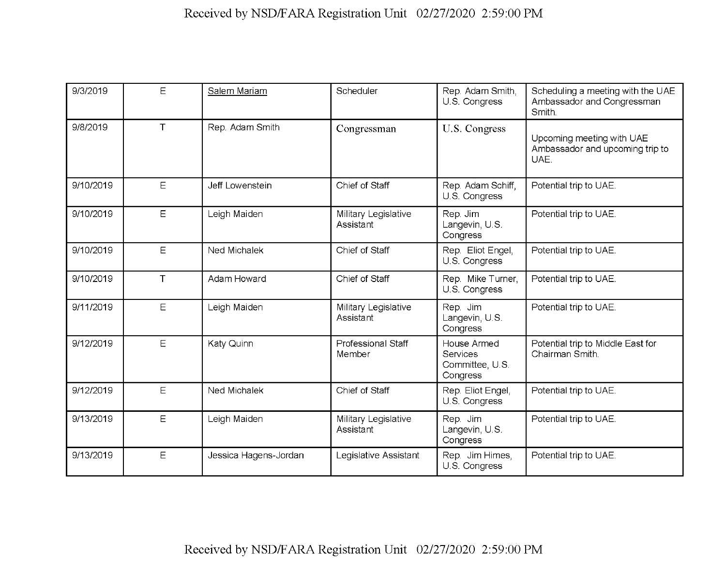| 9/3/2019  | E      | Salem Mariam          | Scheduler                         | Rep. Adam Smith,<br>U.S. Congress                      | Scheduling a meeting with the UAE<br>Ambassador and Congressman<br>Smith. |
|-----------|--------|-----------------------|-----------------------------------|--------------------------------------------------------|---------------------------------------------------------------------------|
| 9/8/2019  | $\top$ | Rep. Adam Smith       | Congressman                       | U.S. Congress                                          | Upcoming meeting with UAE<br>Ambassador and upcoming trip to<br>UAE.      |
| 9/10/2019 | E      | Jeff Lowenstein       | Chief of Staff                    | Rep. Adam Schiff,<br>U.S. Congress                     | Potential trip to UAE.                                                    |
| 9/10/2019 | Ε      | Leigh Maiden          | Military Legislative<br>Assistant | Rep. Jim<br>Langevin, U.S.<br>Congress                 | Potential trip to UAE.                                                    |
| 9/10/2019 | E      | Ned Michalek          | Chief of Staff                    | Rep. Eliot Engel,<br>U.S. Congress                     | Potential trip to UAE.                                                    |
| 9/10/2019 | $\top$ | Adam Howard           | Chief of Staff                    | Rep. Mike Turner,<br>U.S. Congress                     | Potential trip to UAE.                                                    |
| 9/11/2019 | E      | Leigh Maiden          | Military Legislative<br>Assistant | Rep. Jim<br>Langevin, U.S.<br>Congress                 | Potential trip to UAE.                                                    |
| 9/12/2019 | Ε      | Katy Quinn            | Professional Staff<br>Member      | House Armed<br>Services<br>Committee, U.S.<br>Congress | Potential trip to Middle East for<br>Chairman Smith.                      |
| 9/12/2019 | E      | Ned Michalek          | Chief of Staff                    | Rep. Eliot Engel,<br>U.S. Congress                     | Potential trip to UAE.                                                    |
| 9/13/2019 | E      | Leigh Maiden          | Military Legislative<br>Assistant | Rep. Jim<br>Langevin, U.S.<br>Congress                 | Potential trip to UAE.                                                    |
| 9/13/2019 | E      | Jessica Hagens-Jordan | Legislative Assistant             | Rep. Jim Himes,<br>U.S. Congress                       | Potential trip to UAE.                                                    |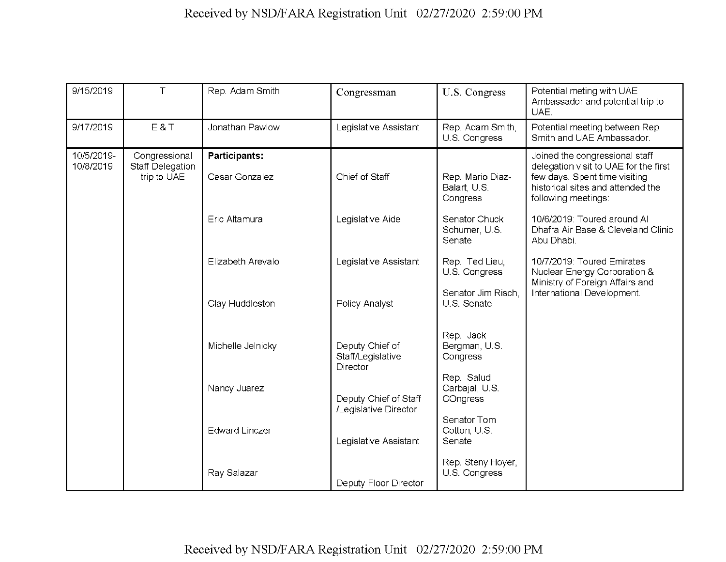| 9/15/2019               | T.                                               | Rep. Adam Smith                        | Congressman                                    | U.S. Congress                                    | Potential meting with UAE<br>Ambassador and potential trip to<br>UAE.                                                                                                |  |
|-------------------------|--------------------------------------------------|----------------------------------------|------------------------------------------------|--------------------------------------------------|----------------------------------------------------------------------------------------------------------------------------------------------------------------------|--|
| 9/17/2019               | E&T                                              | Jonathan Pawlow                        | Legislative Assistant                          | Rep. Adam Smith,<br>U.S. Congress                | Potential meeting between Rep.<br>Smith and UAE Ambassador.                                                                                                          |  |
| 10/5/2019-<br>10/8/2019 | Congressional<br>Staff Delegation<br>trip to UAE | <b>Participants:</b><br>Cesar Gonzalez | Chief of Staff                                 | Rep. Mario Diaz-<br>Balart, U.S.<br>Congress     | Joined the congressional staff<br>delegation visit to UAE for the first<br>few days. Spent time visiting<br>historical sites and attended the<br>following meetings: |  |
|                         |                                                  | Eric Altamura                          | Legislative Aide                               | Senator Chuck<br>Schumer, U.S.<br>Senate         | 10/6/2019: Toured around Al<br>Dhafra Air Base & Cleveland Clinic<br>Abu Dhabi.                                                                                      |  |
|                         |                                                  | Elizabeth Arevalo                      | Legislative Assistant                          | Rep. Ted Lieu.<br>U.S. Congress                  | 10/7/2019: Toured Emirates<br>Nuclear Energy Corporation &<br>Ministry of Foreign Affairs and                                                                        |  |
|                         |                                                  | Clay Huddleston                        | Policy Analyst                                 | Senator Jim Risch,<br>U.S. Senate                | International Development.                                                                                                                                           |  |
|                         |                                                  |                                        | Michelle Jelnicky                              | Deputy Chief of<br>Staff/Legislative<br>Director | Rep. Jack<br>Bergman, U.S.<br>Congress                                                                                                                               |  |
|                         |                                                  | Nancy Juarez                           | Deputy Chief of Staff<br>/Legislative Director | Rep. Salud<br>Carbajal, U.S.<br>COngress         |                                                                                                                                                                      |  |
|                         |                                                  | <b>Edward Linczer</b>                  | Legislative Assistant                          | Senator Tom<br>Cotton, U.S.<br>Senate            |                                                                                                                                                                      |  |
|                         |                                                  | Ray Salazar                            | Deputy Floor Director                          | Rep. Steny Hoyer,<br>U.S. Congress               |                                                                                                                                                                      |  |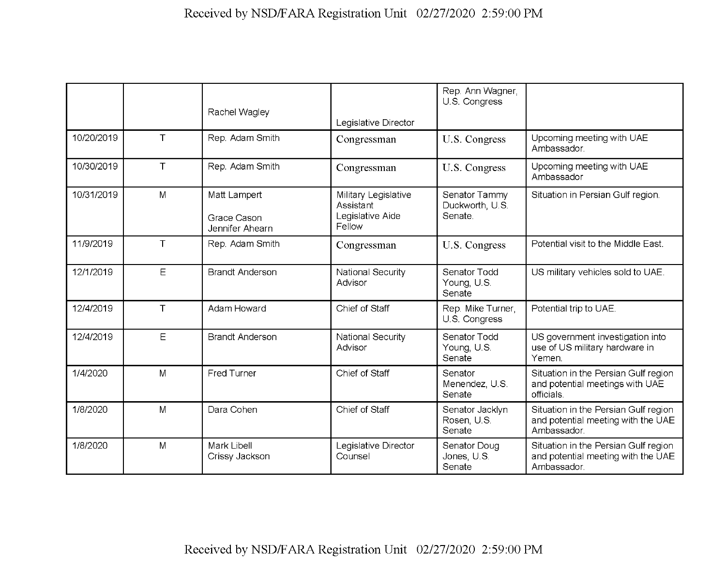|            |             | Rachel Wagley                                  | Legislative Director                                            | Rep. Ann Wagner,<br>U.S. Congress           |                                                                                           |
|------------|-------------|------------------------------------------------|-----------------------------------------------------------------|---------------------------------------------|-------------------------------------------------------------------------------------------|
| 10/20/2019 | $\top$      | Rep. Adam Smith                                | Congressman                                                     | U.S. Congress                               | Upcoming meeting with UAE<br>Ambassador.                                                  |
| 10/30/2019 | $\top$      | Rep. Adam Smith                                | Congressman                                                     | U.S. Congress                               | Upcoming meeting with UAE<br>Ambassador                                                   |
| 10/31/2019 | M           | Matt Lampert<br>Grace Cason<br>Jennifer Ahearn | Military Legislative<br>Assistant<br>Legislative Aide<br>Fellow | Senator Tammy<br>Duckworth, U.S.<br>Senate. | Situation in Persian Gulf region.                                                         |
| 11/9/2019  | $\top$      | Rep. Adam Smith                                | Congressman                                                     | U.S. Congress                               | Potential visit to the Middle East.                                                       |
| 12/1/2019  | E           | <b>Brandt Anderson</b>                         | National Security<br>Advisor                                    | Senator Todd<br>Young, U.S.<br>Senate       | US military vehicles sold to UAE.                                                         |
| 12/4/2019  | $\top$      | Adam Howard                                    | Chief of Staff                                                  | Rep. Mike Turner,<br>U.S. Congress          | Potential trip to UAE.                                                                    |
| 12/4/2019  | $\mathsf E$ | <b>Brandt Anderson</b>                         | National Security<br>Advisor                                    | Senator Todd<br>Young, U.S.<br>Senate       | US government investigation into<br>use of US military hardware in<br>Yemen.              |
| 1/4/2020   | M           | Fred Turner                                    | Chief of Staff                                                  | Senator<br>Menendez, U.S.<br>Senate         | Situation in the Persian Gulf region<br>and potential meetings with UAE<br>officials.     |
| 1/8/2020   | M           | Dara Cohen                                     | Chief of Staff                                                  | Senator Jacklyn<br>Rosen, U.S.<br>Senate    | Situation in the Persian Gulf region<br>and potential meeting with the UAE<br>Ambassador. |
| 1/8/2020   | M           | Mark Libell<br>Crissy Jackson                  | Legislative Director<br>Counsel                                 | Senator Doug<br>Jones, U.S.<br>Senate       | Situation in the Persian Gulf region<br>and potential meeting with the UAE<br>Ambassador. |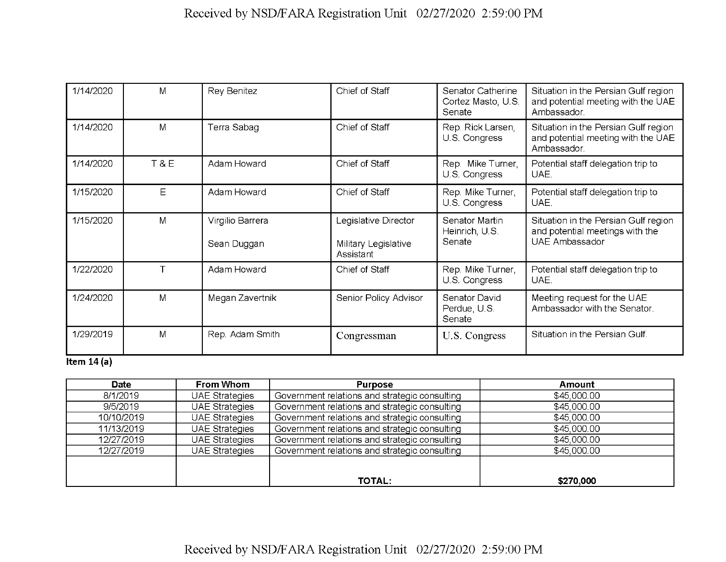| 1/14/2020              | M              | Rey Benitez                     | Chief of Staff                                            | Senator Catherine<br>Cortez Masto, U.S.<br>Senate | Situation in the Persian Gulf region<br>and potential meeting with the UAE<br>Ambassador. |
|------------------------|----------------|---------------------------------|-----------------------------------------------------------|---------------------------------------------------|-------------------------------------------------------------------------------------------|
| 1/14/2020              | M              | Terra Sabag                     | Chief of Staff                                            | Rep. Rick Larsen,<br>U.S. Congress                | Situation in the Persian Gulf region<br>and potential meeting with the UAE<br>Ambassador. |
| 1/14/2020              | <b>T&amp;E</b> | Adam Howard                     | Chief of Staff                                            | Rep. Mike Turner,<br>U.S. Congress                | Potential staff delegation trip to<br>UAE.                                                |
| 1/15/2020              | Ε              | Adam Howard                     | Chief of Staff                                            | Rep. Mike Turner,<br>U.S. Congress                | Potential staff delegation trip to<br>UAE.                                                |
| 1/15/2020              | M              | Virgilio Barrera<br>Sean Duggan | Legislative Director<br>Military Legislative<br>Assistant | Senator Martin<br>Heinrich, U.S.<br>Senate        | Situation in the Persian Gulf region<br>and potential meetings with the<br>UAE Ambassador |
| 1/22/2020              |                | Adam Howard                     | Chief of Staff                                            | Rep. Mike Turner,<br>U.S. Congress                | Potential staff delegation trip to<br>UAE.                                                |
| 1/24/2020              | M              | Megan Zavertnik                 | Senior Policy Advisor                                     | Senator David<br>Perdue, U.S.<br>Senate           | Meeting request for the UAE<br>Ambassador with the Senator.                               |
| 1/29/2019<br>$- - - -$ | M              | Rep. Adam Smith                 | Congressman                                               | U.S. Congress                                     | Situation in the Persian Gulf.                                                            |

#### **Item 14(a)**

| Date       | From Whom             | <b>Purpose</b>                                | Amount      |
|------------|-----------------------|-----------------------------------------------|-------------|
| 8/1/2019   | <b>UAE Strategies</b> | Government relations and strategic consulting | \$45,000.00 |
| 9/5/2019   | <b>UAE Strategies</b> | Government relations and strategic consulting | \$45,000.00 |
| 10/10/2019 | <b>UAE Strategies</b> | Government relations and strategic consulting | \$45,000.00 |
| 11/13/2019 | <b>UAE Strategies</b> | Government relations and strategic consulting | \$45,000.00 |
| 12/27/2019 | <b>UAE Strategies</b> | Government relations and strategic consulting | \$45,000.00 |
| 12/27/2019 | <b>UAE Strategies</b> | Government relations and strategic consulting | \$45,000.00 |
|            |                       |                                               |             |
|            |                       |                                               |             |
|            |                       | <b>TOTAL:</b>                                 | \$270,000   |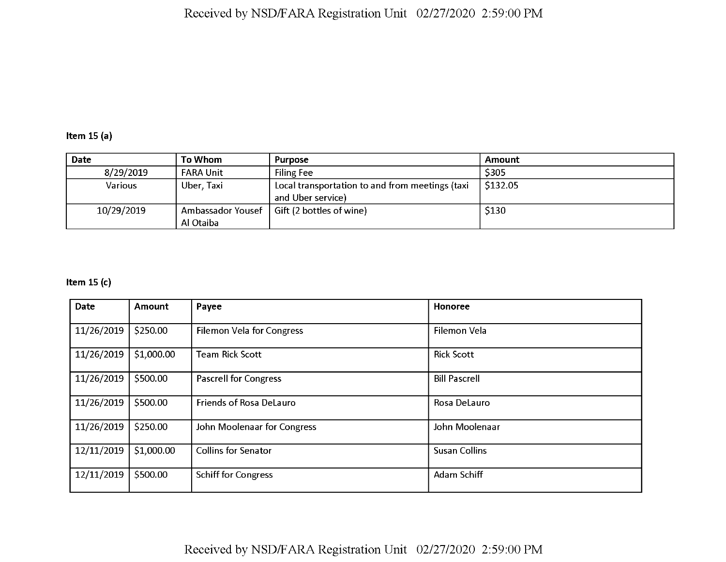## **Item 15 (a)**

| Date       | To Whom           | <b>Purpose</b>                                  | Amount      |
|------------|-------------------|-------------------------------------------------|-------------|
| 8/29/2019  | <b>FARA Unit</b>  | <b>Filing Fee</b>                               | \$305       |
| Various    | Uber, Taxi        | Local transportation to and from meetings (taxi | \$132.05    |
|            |                   | and Uber service)                               |             |
| 10/29/2019 | Ambassador Yousef | Gift (2 bottles of wine)                        | <b>S130</b> |
|            | Al Otaiba         |                                                 |             |

## **Item 15 (c)**

| <b>Date</b> | <b>Amount</b> | Payee                        | Honoree              |
|-------------|---------------|------------------------------|----------------------|
| 11/26/2019  | \$250.00      | Filemon Vela for Congress    | Filemon Vela         |
| 11/26/2019  | \$1,000.00    | <b>Team Rick Scott</b>       | <b>Rick Scott</b>    |
| 11/26/2019  | \$500.00      | <b>Pascrell for Congress</b> | <b>Bill Pascrell</b> |
| 11/26/2019  | \$500.00      | Friends of Rosa DeLauro      | Rosa DeLauro         |
| 11/26/2019  | \$250.00      | John Moolenaar for Congress  | John Moolenaar       |
| 12/11/2019  | \$1,000.00    | <b>Collins for Senator</b>   | <b>Susan Collins</b> |
| 12/11/2019  | \$500.00      | <b>Schiff for Congress</b>   | Adam Schiff          |